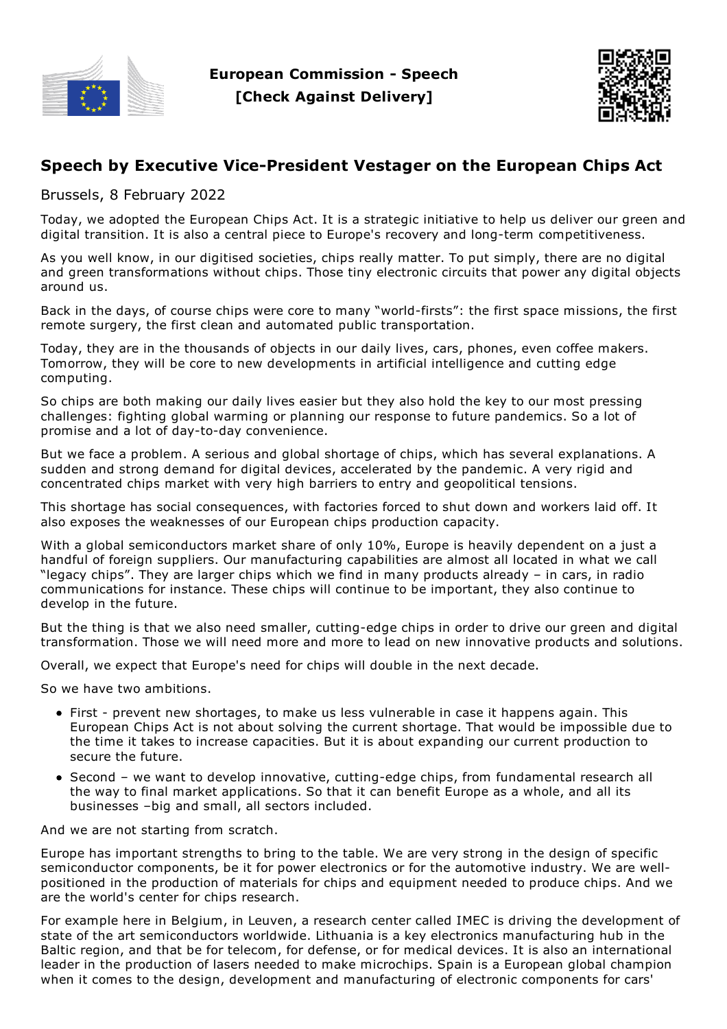



## **Speech by Executive Vice-President Vestager on the European Chips Act**

Brussels, 8 February 2022

Today, we adopted the European Chips Act. It is a strategic initiative to help us deliver our green and digital transition. It is also a central piece to Europe's recovery and long-term competitiveness.

As you well know, in our digitised societies, chips really matter. To put simply, there are no digital and green transformations without chips. Those tiny electronic circuits that power any digital objects around us.

Back in the days, of course chips were core to many "world-firsts": the first space missions, the first remote surgery, the first clean and automated public transportation.

Today, they are in the thousands of objects in our daily lives, cars, phones, even coffee makers. Tomorrow, they will be core to new developments in artificial intelligence and cutting edge computing.

So chips are both making our daily lives easier but they also hold the key to our most pressing challenges: fighting global warming or planning our response to future pandemics. So a lot of promise and a lot of day-to-day convenience.

But we face a problem. A serious and global shortage of chips, which has several explanations. A sudden and strong demand for digital devices, accelerated by the pandemic. A very rigid and concentrated chips market with very high barriers to entry and geopolitical tensions.

This shortage has social consequences, with factories forced to shut down and workers laid off. It also exposes the weaknesses of our European chips production capacity.

With a global semiconductors market share of only 10%, Europe is heavily dependent on a just a handful of foreign suppliers. Our manufacturing capabilities are almost all located in what we call "legacy chips". They are larger chips which we find in many products already – in cars, in radio communications for instance. These chips will continue to be important, they also continue to develop in the future.

But the thing is that we also need smaller, cutting-edge chips in order to drive our green and digital transformation. Those we will need more and more to lead on new innovative products and solutions.

Overall, we expect that Europe's need for chips will double in the next decade.

So we have two ambitions.

- First prevent new shortages, to make us less vulnerable in case it happens again. This European Chips Act is not about solving the current shortage. That would be impossible due to the time it takes to increase capacities. But it is about expanding our current production to secure the future.
- Second we want to develop innovative, cutting-edge chips, from fundamental research all the way to final market applications. So that it can benefit Europe as a whole, and all its businesses –big and small, all sectors included.

And we are not starting from scratch.

Europe has important strengths to bring to the table. We are very strong in the design of specific semiconductor components, be it for power electronics or for the automotive industry. We are wellpositioned in the production of materials for chips and equipment needed to produce chips. And we are the world's center for chips research.

For example here in Belgium, in Leuven, a research center called IMEC is driving the development of state of the art semiconductors worldwide. Lithuania is a key electronics manufacturing hub in the Baltic region, and that be for telecom, for defense, or for medical devices. It is also an international leader in the production of lasers needed to make microchips. Spain is a European global champion when it comes to the design, development and manufacturing of electronic components for cars'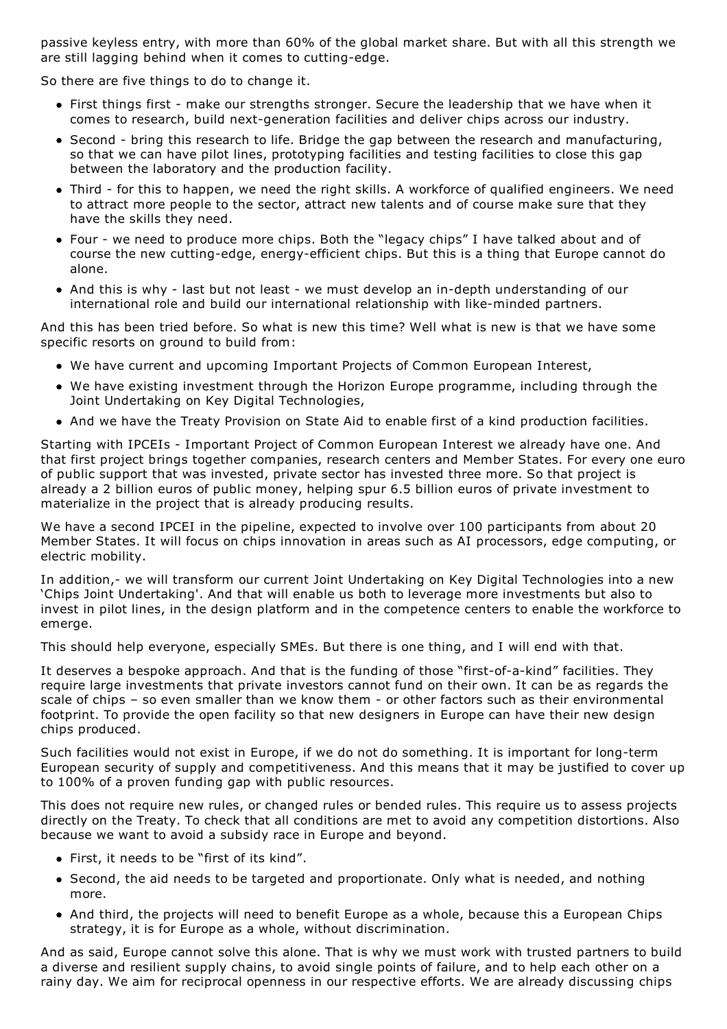passive keyless entry, with more than 60% of the global market share. But with all this strength we are still lagging behind when it comes to cutting-edge.

So there are five things to do to change it.

- First things first make our strengths stronger. Secure the leadership that we have when it comes to research, build next-generation facilities and deliver chips across our industry.
- Second bring this research to life. Bridge the gap between the research and manufacturing, so that we can have pilot lines, prototyping facilities and testing facilities to close this gap between the laboratory and the production facility.
- Third for this to happen, we need the right skills. A workforce of qualified engineers. We need to attract more people to the sector, attract new talents and of course make sure that they have the skills they need.
- Four we need to produce more chips. Both the "legacy chips" I have talked about and of course the new cutting-edge, energy-efficient chips. But this is a thing that Europe cannot do alone.
- And this is why last but not least we must develop an in-depth understanding of our international role and build our international relationship with like-minded partners.

And this has been tried before. So what is new this time? Well what is new is that we have some specific resorts on ground to build from:

- We have current and upcoming Important Projects of Common European Interest,
- We have existing investment through the Horizon Europe programme, including through the Joint Undertaking on Key Digital Technologies,
- And we have the Treaty Provision on State Aid to enable first of a kind production facilities.

Starting with IPCEIs - Important Project of Common European Interest we already have one. And that first project brings together companies, research centers and Member States. For every one euro of public support that was invested, private sector has invested three more. So that project is already a 2 billion euros of public money, helping spur 6.5 billion euros of private investment to materialize in the project that is already producing results.

We have a second IPCEI in the pipeline, expected to involve over 100 participants from about 20 Member States. It will focus on chips innovation in areas such as AI processors, edge computing, or electric mobility.

In addition,- we will transform our current Joint Undertaking on Key Digital Technologies into a new 'Chips Joint Undertaking'. And that will enable us both to leverage more investments but also to invest in pilot lines, in the design platform and in the competence centers to enable the workforce to emerge.

This should help everyone, especially SMEs. But there is one thing, and I will end with that.

It deserves a bespoke approach. And that is the funding of those "first-of-a-kind" facilities. They require large investments that private investors cannot fund on their own. It can be as regards the scale of chips – so even smaller than we know them - or other factors such as their environmental footprint. To provide the open facility so that new designers in Europe can have their new design chips produced.

Such facilities would not exist in Europe, if we do not do something. It is important for long-term European security of supply and competitiveness. And this means that it may be justified to cover up to 100% of a proven funding gap with public resources.

This does not require new rules, or changed rules or bended rules. This require us to assess projects directly on the Treaty. To check that all conditions are met to avoid any competition distortions. Also because we want to avoid a subsidy race in Europe and beyond.

- First, it needs to be "first of its kind".
- Second, the aid needs to be targeted and proportionate. Only what is needed, and nothing more.
- And third, the projects will need to benefit Europe as a whole, because this a European Chips strategy, it is for Europe as a whole, without discrimination.

And as said, Europe cannot solve this alone. That is why we must work with trusted partners to build a diverse and resilient supply chains, to avoid single points of failure, and to help each other on a rainy day. We aim for reciprocal openness in our respective efforts. We are already discussing chips